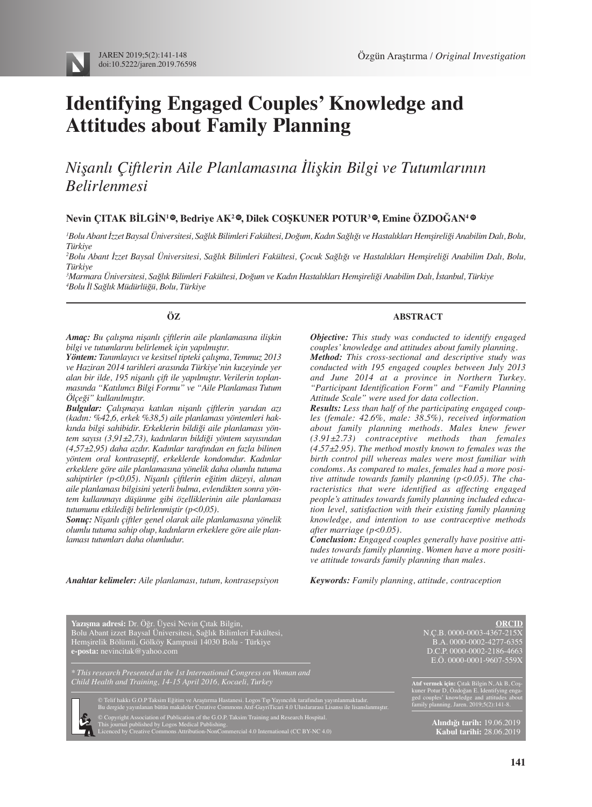

# **Identifying Engaged Couples' Knowledge and Attitudes about Family Planning**

# *Nişanlı Çiftlerin Aile Planlamasına İlişkin Bilgi ve Tutumlarının Belirlenmesi*

# $N$ evin ÇITAK BİLGİN<sup>1</sup> ©[,](http://orcid.org/0000-0002-4277-6355) Bedriye AK<sup>2</sup> ©[,](http://orcid.org/0000-0002-2186-4663) Dilek COŞKUNER POTUR<sup>3</sup> ©, Emine ÖZDOĞAN<sup>4</sup> ©

*1 Bolu Abant İzzet Baysal Üniversitesi, Sağlık Bilimleri Fakültesi, Doğum, Kadın Sağlığı ve Hastalıkları Hemşireliği Anabilim Dalı, Bolu, Türkiye*

*2 Bolu Abant İzzet Baysal Üniversitesi, Sağlık Bilimleri Fakültesi, Çocuk Sağlığı ve Hastalıkları Hemşireliği Anabilim Dalı, Bolu, Türkiye*

*3 Marmara Üniversitesi, Sağlık Bilimleri Fakültesi, Doğum ve Kadın Hastalıkları Hemşireliği Anabilim Dalı, İstanbul, Türkiye 4 Bolu İl Sağlık Müdürlüğü, Bolu, Türkiye*

#### **ÖZ**

*Amaç: Bu çalışma nişanlı çiftlerin aile planlamasına ilişkin bilgi ve tutumlarını belirlemek için yapılmıştır.*

*Yöntem: Tanımlayıcı ve kesitsel tipteki çalışma, Temmuz 2013 ve Haziran 2014 tarihleri arasında Türkiye'nin kuzeyinde yer alan bir ilde, 195 nişanlı çift ile yapılmıştır. Verilerin toplanmasında "Katılımcı Bilgi Formu" ve "Aile Planlaması Tutum Ölçeği" kullanılmıştır.* 

*Bulgular: Çalışmaya katılan nişanlı çiftlerin yarıdan azı (kadın: %42,6, erkek %38,5) aile planlaması yöntemleri hakkında bilgi sahibidir. Erkeklerin bildiği aile planlaması yöntem sayısı (3,91±2,73), kadınların bildiği yöntem sayısından (4,57±2,95) daha azdır. Kadınlar tarafından en fazla bilinen yöntem oral kontraseptif, erkeklerde kondomdur. Kadınlar erkeklere göre aile planlamasına yönelik daha olumlu tutuma sahiptirler (p<0,05). Nişanlı çiftlerin eğitim düzeyi, alınan aile planlaması bilgisini yeterli bulma, evlendikten sonra yöntem kullanmayı düşünme gibi özelliklerinin aile planlaması tutumunu etkilediği belirlenmiştir (p<0,05).* 

*Sonuç: Nişanlı çiftler genel olarak aile planlamasına yönelik olumlu tutuma sahip olup, kadınların erkeklere göre aile planlaması tutumları daha olumludur.*

#### **ABSTRACT**

*Objective: This study was conducted to identify engaged couples' knowledge and attitudes about family planning. Method: This cross-sectional and descriptive study was conducted with 195 engaged couples between July 2013 and June 2014 at a province in Northern Turkey. "Participant Identification Form" and "Family Planning Attitude Scale" were used for data collection.*

*Results: Less than half of the participating engaged couples (female: 42.6%, male: 38.5%), received information about family planning methods. Males knew fewer (3.91±2.73) contraceptive methods than females (4.57±2.95). The method mostly known to females was the birth control pill whereas males were most familiar with condoms. As compared to males, females had a more positive attitude towards family planning (p<0.05). The characteristics that were identified as affecting engaged people's attitudes towards family planning included education level, satisfaction with their existing family planning knowledge, and intention to use contraceptive methods after marriage (p<0.05).*

*Conclusion: Engaged couples generally have positive attitudes towards family planning. Women have a more positive attitude towards family planning than males.*

*Keywords: Family planning, attitude, contraception*

*Anahtar kelimeler: Aile planlaması, tutum, kontrasepsiyon*

**Yazışma adresi:** Dr. Öğr. Üyesi Nevin Çıtak Bilgin, Bolu Abant izzet Baysal Üniversitesi, Sağlık Bilimleri Fakültesi, Hemşirelik Bölümü, Gölköy Kampusü 14030 Bolu - Türkiye **e-posta:** nevincitak@yahoo.com

*\* This research Presented at the 1st International Congress on Woman and Child Health and Training, 14-15 April 2016, Kocaeli, Turkey*

© Telif hakkı G.O.P Taksim Eğitim ve Araştırma Hastanesi. Logos Tıp Yayıncılık tarafından yayınlanmaktadır.<br>Bu dergide yayınlanan bütün makaleler Creative Commons Atıf-GayriTicari 4.0 Uluslararası Lisansı ile lisanslanmışt

© Copyright Association of Publication of the G.O.P. Taksim Training and Research Hospital. This journal published by Logos Medical Publishing.

**ORCID** N.Ç.B. 0000-0003-4367-215X B.A. 0000-0002-4277-6355 D.C.P. 0000-0002-2186-4663 E.Ö. 0000-0001-9607-559X

**Atıf vermek için:** Çıtak Bilgin N, Ak B, Coşkuner Potur D, Özdoğan E. Identifying engaged couples' knowledge and attitudes about family planning. Jaren. 2019;5(2):141-8.

> **Alındığı tarih:** 19.06.2019 **Kabul tarihi:** 28.06.2019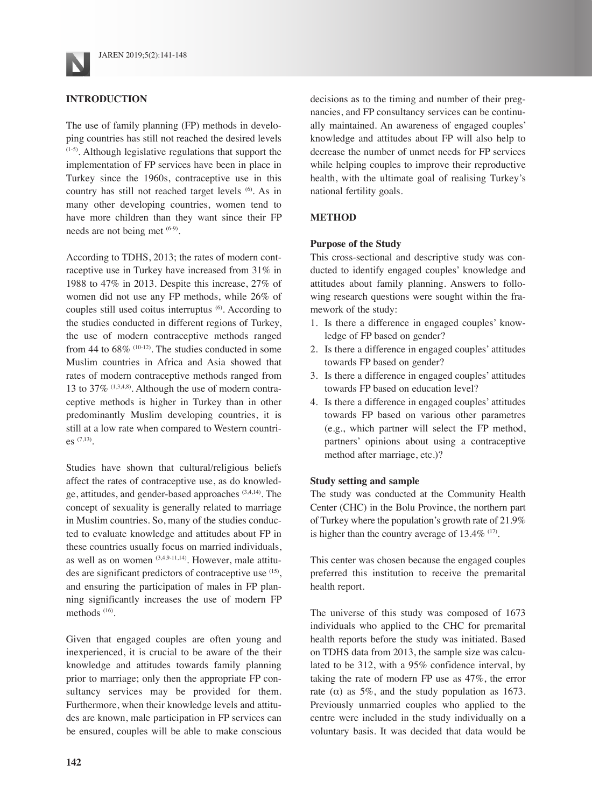

# **INTRODUCTION**

The use of family planning (FP) methods in developing countries has still not reached the desired levels (1-5). Although legislative regulations that support the implementation of FP services have been in place in Turkey since the 1960s, contraceptive use in this country has still not reached target levels (6). As in many other developing countries, women tend to have more children than they want since their FP needs are not being met  $(6-9)$ .

According to TDHS, 2013; the rates of modern contraceptive use in Turkey have increased from 31% in 1988 to 47% in 2013. Despite this increase, 27% of women did not use any FP methods, while 26% of couples still used coitus interruptus <sup>(6)</sup>. According to the studies conducted in different regions of Turkey, the use of modern contraceptive methods ranged from 44 to  $68\%$  (10-12). The studies conducted in some Muslim countries in Africa and Asia showed that rates of modern contraceptive methods ranged from 13 to 37% (1,3,4,8). Although the use of modern contraceptive methods is higher in Turkey than in other predominantly Muslim developing countries, it is still at a low rate when compared to Western countries (7,13).

Studies have shown that cultural/religious beliefs affect the rates of contraceptive use, as do knowledge, attitudes, and gender-based approaches (3,4,14). The concept of sexuality is generally related to marriage in Muslim countries. So, many of the studies conducted to evaluate knowledge and attitudes about FP in these countries usually focus on married individuals, as well as on women  $(3,4,9-11,14)$ . However, male attitudes are significant predictors of contraceptive use (15), and ensuring the participation of males in FP planning significantly increases the use of modern FP methods<sup>(16)</sup>.

Given that engaged couples are often young and inexperienced, it is crucial to be aware of the their knowledge and attitudes towards family planning prior to marriage; only then the appropriate FP consultancy services may be provided for them. Furthermore, when their knowledge levels and attitudes are known, male participation in FP services can be ensured, couples will be able to make conscious

decisions as to the timing and number of their pregnancies, and FP consultancy services can be continually maintained. An awareness of engaged couples' knowledge and attitudes about FP will also help to decrease the number of unmet needs for FP services while helping couples to improve their reproductive health, with the ultimate goal of realising Turkey's national fertility goals.

# **METHOD**

#### **Purpose of the Study**

This cross-sectional and descriptive study was conducted to identify engaged couples' knowledge and attitudes about family planning. Answers to following research questions were sought within the framework of the study:

- 1. Is there a difference in engaged couples' knowledge of FP based on gender?
- 2. Is there a difference in engaged couples' attitudes towards FP based on gender?
- 3. Is there a difference in engaged couples' attitudes towards FP based on education level?
- 4. Is there a difference in engaged couples' attitudes towards FP based on various other parametres (e.g., which partner will select the FP method, partners' opinions about using a contraceptive method after marriage, etc.)?

#### **Study setting and sample**

The study was conducted at the Community Health Center (CHC) in the Bolu Province, the northern part of Turkey where the population's growth rate of 21.9% is higher than the country average of  $13.4\%$  <sup>(17)</sup>.

This center was chosen because the engaged couples preferred this institution to receive the premarital health report.

The universe of this study was composed of 1673 individuals who applied to the CHC for premarital health reports before the study was initiated. Based on TDHS data from 2013, the sample size was calculated to be 312, with a 95% confidence interval, by taking the rate of modern FP use as 47%, the error rate ( $\alpha$ ) as 5%, and the study population as 1673. Previously unmarried couples who applied to the centre were included in the study individually on a voluntary basis. It was decided that data would be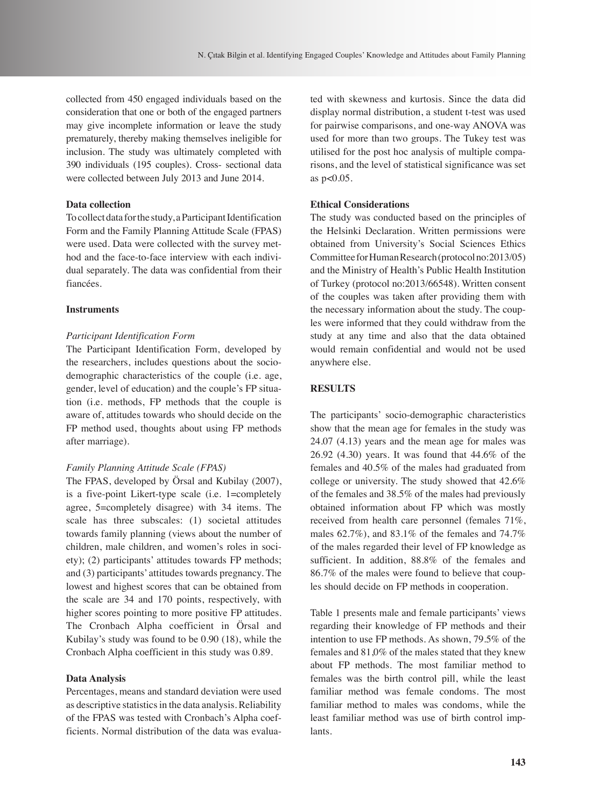collected from 450 engaged individuals based on the consideration that one or both of the engaged partners may give incomplete information or leave the study prematurely, thereby making themselves ineligible for inclusion. The study was ultimately completed with 390 individuals (195 couples). Cross- sectional data were collected between July 2013 and June 2014.

# **Data collection**

To collect data for the study, a Participant Identification Form and the Family Planning Attitude Scale (FPAS) were used. Data were collected with the survey method and the face-to-face interview with each individual separately. The data was confidential from their fiancées.

#### **Instruments**

#### *Participant Identification Form*

The Participant Identification Form, developed by the researchers, includes questions about the sociodemographic characteristics of the couple (i.e. age, gender, level of education) and the couple's FP situation (i.e. methods, FP methods that the couple is aware of, attitudes towards who should decide on the FP method used, thoughts about using FP methods after marriage).

#### *Family Planning Attitude Scale (FPAS)*

The FPAS, developed by Örsal and Kubilay (2007), is a five-point Likert-type scale (i.e. 1=completely agree, 5=completely disagree) with 34 items. The scale has three subscales: (1) societal attitudes towards family planning (views about the number of children, male children, and women's roles in society); (2) participants' attitudes towards FP methods; and (3) participants' attitudes towards pregnancy. The lowest and highest scores that can be obtained from the scale are 34 and 170 points, respectively, with higher scores pointing to more positive FP attitudes. The Cronbach Alpha coefficient in Örsal and Kubilay's study was found to be 0.90 (18), while the Cronbach Alpha coefficient in this study was 0.89.

#### **Data Analysis**

Percentages, means and standard deviation were used as descriptive statistics in the data analysis. Reliability of the FPAS was tested with Cronbach's Alpha coefficients. Normal distribution of the data was evaluated with skewness and kurtosis. Since the data did display normal distribution, a student t-test was used for pairwise comparisons, and one-way ANOVA was used for more than two groups. The Tukey test was utilised for the post hoc analysis of multiple comparisons, and the level of statistical significance was set as p<0.05.

# **Ethical Considerations**

The study was conducted based on the principles of the Helsinki Declaration. Written permissions were obtained from University's Social Sciences Ethics Committee for Human Research (protocol no:2013/05) and the Ministry of Health's Public Health Institution of Turkey (protocol no:2013/66548). Written consent of the couples was taken after providing them with the necessary information about the study. The couples were informed that they could withdraw from the study at any time and also that the data obtained would remain confidential and would not be used anywhere else.

# **RESULTS**

The participants' socio-demographic characteristics show that the mean age for females in the study was 24.07 (4.13) years and the mean age for males was 26.92 (4.30) years. It was found that 44.6% of the females and 40.5% of the males had graduated from college or university. The study showed that 42.6% of the females and 38.5% of the males had previously obtained information about FP which was mostly received from health care personnel (females 71%, males  $62.7\%$ ), and  $83.1\%$  of the females and  $74.7\%$ of the males regarded their level of FP knowledge as sufficient. In addition, 88.8% of the females and 86.7% of the males were found to believe that couples should decide on FP methods in cooperation.

Table 1 presents male and female participants' views regarding their knowledge of FP methods and their intention to use FP methods. As shown, 79.5% of the females and 81,0% of the males stated that they knew about FP methods. The most familiar method to females was the birth control pill, while the least familiar method was female condoms. The most familiar method to males was condoms, while the least familiar method was use of birth control implants.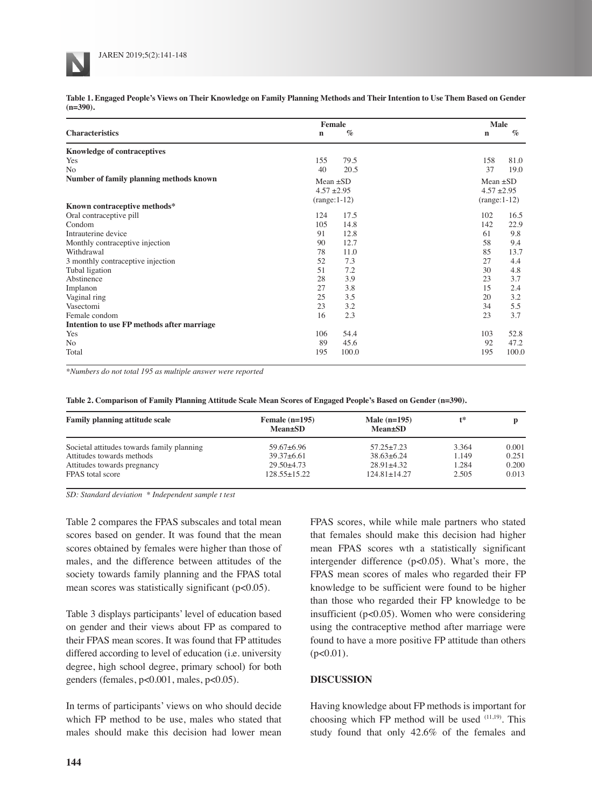**Table 1. Engaged People's Views on Their Knowledge on Family Planning Methods and Their Intention to Use Them Based on Gender (n=390).**

|                                            | Female              | Male                |  |  |
|--------------------------------------------|---------------------|---------------------|--|--|
| <b>Characteristics</b>                     | $\%$<br>$\mathbf n$ | $\%$<br>$\mathbf n$ |  |  |
| <b>Knowledge of contraceptives</b>         |                     |                     |  |  |
| Yes                                        | 155<br>79.5         | 158<br>81.0         |  |  |
| N <sub>o</sub>                             | 20.5<br>40          | 37<br>19.0          |  |  |
| Number of family planning methods known    | Mean $\pm SD$       | Mean $\pm SD$       |  |  |
| $4.57 + 2.95$                              |                     | $4.57 + 2.95$       |  |  |
|                                            | $(range:1-12)$      |                     |  |  |
| Known contraceptive methods*               |                     | $(range:1-12)$      |  |  |
| Oral contraceptive pill                    | 17.5<br>124         | 102<br>16.5         |  |  |
| Condom                                     | 105<br>14.8         | 142<br>22.9         |  |  |
| Intrauterine device                        | 12.8<br>91          | 9.8<br>61           |  |  |
| Monthly contraceptive injection            | 90<br>12.7          | 58<br>9.4           |  |  |
| Withdrawal                                 | 78<br>11.0          | 85<br>13.7          |  |  |
| 3 monthly contraceptive injection          | 7.3<br>52           | 27<br>4.4           |  |  |
| Tubal ligation                             | 51<br>7.2           | 30<br>4.8           |  |  |
| Abstinence                                 | 28<br>3.9           | 23<br>3.7           |  |  |
| Implanon                                   | 27<br>3.8           | 15<br>2.4           |  |  |
| Vaginal ring                               | 25<br>3.5           | 3.2<br>20           |  |  |
| Vasectomi                                  | 23<br>3.2           | 5.5<br>34           |  |  |
| Female condom                              | 16<br>2.3           | 23<br>3.7           |  |  |
| Intention to use FP methods after marriage |                     |                     |  |  |
| Yes                                        | 54.4<br>106         | 103<br>52.8         |  |  |
| No                                         | 89<br>45.6          | 92<br>47.2          |  |  |
| Total                                      | 195<br>100.0        | 195<br>100.0        |  |  |

*\*Numbers do not total 195 as multiple answer were reported*

**Table 2. Comparison of Family Planning Attitude Scale Mean Scores of Engaged People's Based on Gender (n=390).**

| <b>Family planning attitude scale</b>      | Female $(n=195)$<br><b>Mean</b> ±SD | Male $(n=195)$<br><b>Mean</b> ±SD | t*    |       |  |
|--------------------------------------------|-------------------------------------|-----------------------------------|-------|-------|--|
| Societal attitudes towards family planning | $59.67 + 6.96$                      | $57.25 + 7.23$                    | 3.364 | 0.001 |  |
| Attitudes towards methods                  | $39.37 + 6.61$                      | $38.63 + 6.24$                    | 1.149 | 0.251 |  |
| Attitudes towards pregnancy                | $29.50 + 4.73$                      | $28.91 + 4.32$                    | 1.284 | 0.200 |  |
| FPAS total score                           | $128.55+15.22$                      | $124.81 \pm 14.27$                | 2.505 | 0.013 |  |

*SD: Standard deviation \* Independent sample t test*

Table 2 compares the FPAS subscales and total mean scores based on gender. It was found that the mean scores obtained by females were higher than those of males, and the difference between attitudes of the society towards family planning and the FPAS total mean scores was statistically significant (p<0.05).

Table 3 displays participants' level of education based on gender and their views about FP as compared to their FPAS mean scores. It was found that FP attitudes differed according to level of education (i.e. university degree, high school degree, primary school) for both genders (females, p<0.001, males, p<0.05).

In terms of participants' views on who should decide which FP method to be use, males who stated that males should make this decision had lower mean FPAS scores, while while male partners who stated that females should make this decision had higher mean FPAS scores wth a statistically significant intergender difference (p<0.05). What's more, the FPAS mean scores of males who regarded their FP knowledge to be sufficient were found to be higher than those who regarded their FP knowledge to be insufficient (p<0.05). Women who were considering using the contraceptive method after marriage were found to have a more positive FP attitude than others  $(p<0.01)$ .

#### **DISCUSSION**

Having knowledge about FP methods is important for choosing which FP method will be used (11,19). This study found that only 42.6% of the females and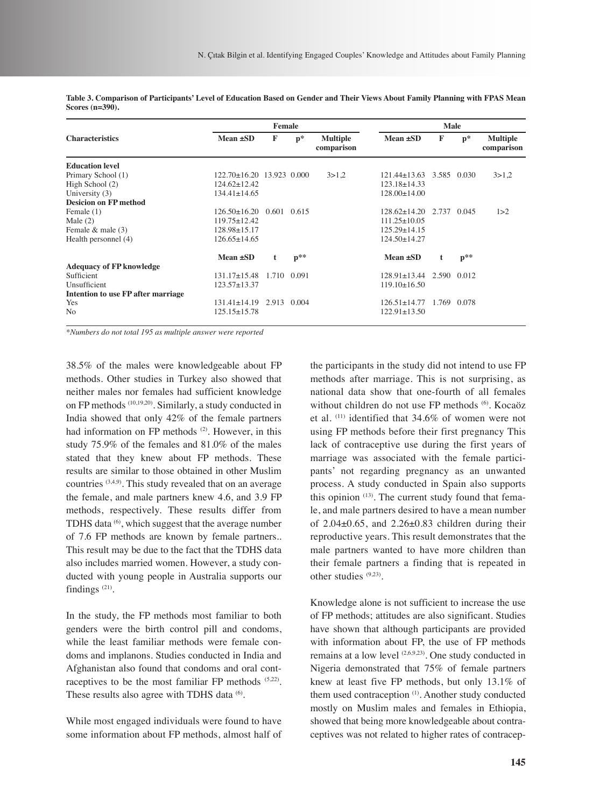|                                           | Female                          |                 |       | Male                          |                    |             |             |                               |
|-------------------------------------------|---------------------------------|-----------------|-------|-------------------------------|--------------------|-------------|-------------|-------------------------------|
| <b>Characteristics</b>                    | Mean ±SD                        | F               | $p*$  | <b>Multiple</b><br>comparison | Mean ±SD           | F           | $p*$        | <b>Multiple</b><br>comparison |
| <b>Education level</b>                    |                                 |                 |       |                               |                    |             |             |                               |
| Primary School (1)                        | $122.70 \pm 16.20$ 13.923 0.000 |                 |       | 3 > 1.2                       | $121.44+13.63$     | 3.585 0.030 |             | 3 > 1.2                       |
| High School (2)                           | $124.62 \pm 12.42$              |                 |       |                               | $123.18 \pm 14.33$ |             |             |                               |
| University (3)                            | $134.41 \pm 14.65$              |                 |       |                               | 128.00±14.00       |             |             |                               |
| <b>Desicion on FP method</b>              |                                 |                 |       |                               |                    |             |             |                               |
| Female (1)                                | $126.50+16.20$                  | $0.601$ $0.615$ |       |                               | $128.62+14.20$     | 2.737       | 0.045       | 1 > 2                         |
| Male $(2)$                                | $119.75 \pm 12.42$              |                 |       |                               | $111.25 \pm 10.05$ |             |             |                               |
| Female $&$ male $(3)$                     | $128.98 \pm 15.17$              |                 |       |                               | $125.29 + 14.15$   |             |             |                               |
| Health personnel (4)                      | $126.65 \pm 14.65$              |                 |       |                               | $124.50 \pm 14.27$ |             |             |                               |
|                                           | Mean ±SD                        | t               | $p**$ |                               | Mean ±SD           | t           | $p$ **      |                               |
| <b>Adequacy of FP knowledge</b>           |                                 |                 |       |                               |                    |             |             |                               |
| Sufficient                                | $131.17\pm 15.48$               | 1.710 0.091     |       |                               | 128.91+13.44       |             | 2.590 0.012 |                               |
| Unsufficient                              | $123.57 \pm 13.37$              |                 |       |                               | $119.10\pm16.50$   |             |             |                               |
| <b>Intention to use FP after marriage</b> |                                 |                 |       |                               |                    |             |             |                               |
| Yes                                       | $131.41 + 14.19$                | 2.913 0.004     |       |                               | $126.51 + 14.77$   |             | 1.769 0.078 |                               |
| No                                        | 125.15+15.78                    |                 |       |                               | $122.91 \pm 13.50$ |             |             |                               |

**Table 3. Comparison of Participants' Level of Education Based on Gender and Their Views About Family Planning with FPAS Mean Scores (n=390).**

*\*Numbers do not total 195 as multiple answer were reported*

38.5% of the males were knowledgeable about FP methods. Other studies in Turkey also showed that neither males nor females had sufficient knowledge on FP methods (10,19,20). Similarly, a study conducted in India showed that only 42% of the female partners had information on FP methods <sup>(2)</sup>. However, in this study 75.9% of the females and 81.0% of the males stated that they knew about FP methods. These results are similar to those obtained in other Muslim countries (3,4,9). This study revealed that on an average the female, and male partners knew 4.6, and 3.9 FP methods, respectively. These results differ from TDHS data <sup>(6)</sup>, which suggest that the average number of 7.6 FP methods are known by female partners.. This result may be due to the fact that the TDHS data also includes married women. However, a study conducted with young people in Australia supports our findings (21).

In the study, the FP methods most familiar to both genders were the birth control pill and condoms, while the least familiar methods were female condoms and implanons. Studies conducted in India and Afghanistan also found that condoms and oral contraceptives to be the most familiar FP methods (5,22). These results also agree with TDHS data <sup>(6)</sup>.

While most engaged individuals were found to have some information about FP methods, almost half of the participants in the study did not intend to use FP methods after marriage. This is not surprising, as national data show that one-fourth of all females without children do not use FP methods <sup>(6)</sup>. Kocaöz et al. (11) identified that 34.6% of women were not using FP methods before their first pregnancy This lack of contraceptive use during the first years of marriage was associated with the female participants' not regarding pregnancy as an unwanted process. A study conducted in Spain also supports this opinion  $(13)$ . The current study found that female, and male partners desired to have a mean number of  $2.04\pm0.65$ , and  $2.26\pm0.83$  children during their reproductive years. This result demonstrates that the male partners wanted to have more children than their female partners a finding that is repeated in other studies (9,23).

Knowledge alone is not sufficient to increase the use of FP methods; attitudes are also significant. Studies have shown that although participants are provided with information about FP, the use of FP methods remains at a low level <sup>(2,6,9,23)</sup>. One study conducted in Nigeria demonstrated that 75% of female partners knew at least five FP methods, but only 13.1% of them used contraception<sup>(1)</sup>. Another study conducted mostly on Muslim males and females in Ethiopia, showed that being more knowledgeable about contraceptives was not related to higher rates of contracep-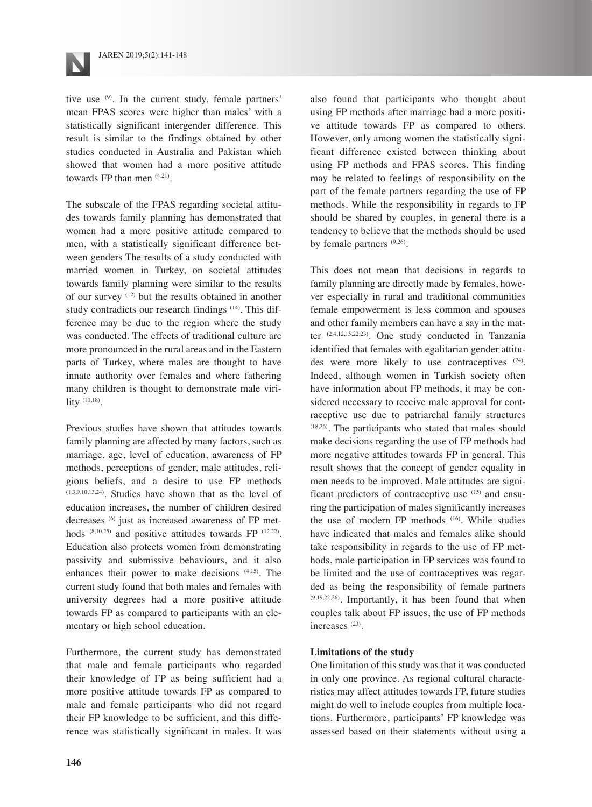

tive use  $(9)$ . In the current study, female partners' mean FPAS scores were higher than males' with a statistically significant intergender difference. This result is similar to the findings obtained by other studies conducted in Australia and Pakistan which showed that women had a more positive attitude towards FP than men  $(4,21)$ .

The subscale of the FPAS regarding societal attitudes towards family planning has demonstrated that women had a more positive attitude compared to men, with a statistically significant difference between genders The results of a study conducted with married women in Turkey, on societal attitudes towards family planning were similar to the results of our survey (12) but the results obtained in another study contradicts our research findings <sup>(14)</sup>. This difference may be due to the region where the study was conducted. The effects of traditional culture are more pronounced in the rural areas and in the Eastern parts of Turkey, where males are thought to have innate authority over females and where fathering many children is thought to demonstrate male virility  $(10,18)$ .

Previous studies have shown that attitudes towards family planning are affected by many factors, such as marriage, age, level of education, awareness of FP methods, perceptions of gender, male attitudes, religious beliefs, and a desire to use FP methods (1,3,9,10,13,24). Studies have shown that as the level of education increases, the number of children desired decreases (6) just as increased awareness of FP methods (8,10,25) and positive attitudes towards FP (12,22). Education also protects women from demonstrating passivity and submissive behaviours, and it also enhances their power to make decisions (4,15). The current study found that both males and females with university degrees had a more positive attitude towards FP as compared to participants with an elementary or high school education.

Furthermore, the current study has demonstrated that male and female participants who regarded their knowledge of FP as being sufficient had a more positive attitude towards FP as compared to male and female participants who did not regard their FP knowledge to be sufficient, and this difference was statistically significant in males. It was also found that participants who thought about using FP methods after marriage had a more positive attitude towards FP as compared to others. However, only among women the statistically significant difference existed between thinking about using FP methods and FPAS scores. This finding may be related to feelings of responsibility on the part of the female partners regarding the use of FP methods. While the responsibility in regards to FP should be shared by couples, in general there is a tendency to believe that the methods should be used by female partners  $(9,26)$ .

This does not mean that decisions in regards to family planning are directly made by females, however especially in rural and traditional communities female empowerment is less common and spouses and other family members can have a say in the matter (2,4,12,15,22,23). One study conducted in Tanzania identified that females with egalitarian gender attitudes were more likely to use contraceptives (24). Indeed, although women in Turkish society often have information about FP methods, it may be considered necessary to receive male approval for contraceptive use due to patriarchal family structures (18,26). The participants who stated that males should make decisions regarding the use of FP methods had more negative attitudes towards FP in general. This result shows that the concept of gender equality in men needs to be improved. Male attitudes are significant predictors of contraceptive use (15) and ensuring the participation of males significantly increases the use of modern FP methods (16). While studies have indicated that males and females alike should take responsibility in regards to the use of FP methods, male participation in FP services was found to be limited and the use of contraceptives was regarded as being the responsibility of female partners  $(9,19,22,26)$ . Importantly, it has been found that when couples talk about FP issues, the use of FP methods increases (23).

#### **Limitations of the study**

One limitation of this study was that it was conducted in only one province. As regional cultural characteristics may affect attitudes towards FP, future studies might do well to include couples from multiple locations. Furthermore, participants' FP knowledge was assessed based on their statements without using a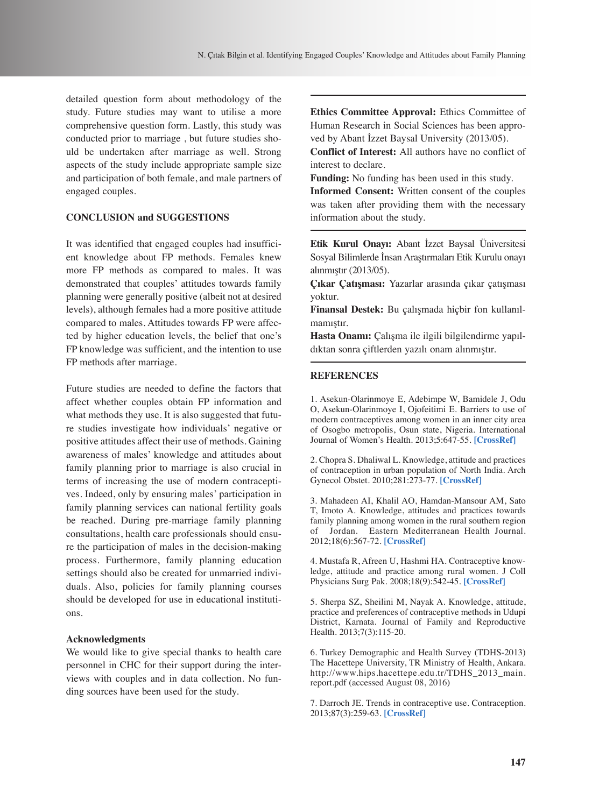detailed question form about methodology of the study. Future studies may want to utilise a more comprehensive question form. Lastly, this study was conducted prior to marriage , but future studies should be undertaken after marriage as well. Strong aspects of the study include appropriate sample size and participation of both female, and male partners of engaged couples.

# **CONCLUSION and SUGGESTIONS**

It was identified that engaged couples had insufficient knowledge about FP methods. Females knew more FP methods as compared to males. It was demonstrated that couples' attitudes towards family planning were generally positive (albeit not at desired levels), although females had a more positive attitude compared to males. Attitudes towards FP were affected by higher education levels, the belief that one's FP knowledge was sufficient, and the intention to use FP methods after marriage.

Future studies are needed to define the factors that affect whether couples obtain FP information and what methods they use. It is also suggested that future studies investigate how individuals' negative or positive attitudes affect their use of methods. Gaining awareness of males' knowledge and attitudes about family planning prior to marriage is also crucial in terms of increasing the use of modern contraceptives. Indeed, only by ensuring males' participation in family planning services can national fertility goals be reached. During pre-marriage family planning consultations, health care professionals should ensure the participation of males in the decision-making process. Furthermore, family planning education settings should also be created for unmarried individuals. Also, policies for family planning courses should be developed for use in educational institutions.

#### **Acknowledgments**

We would like to give special thanks to health care personnel in CHC for their support during the interviews with couples and in data collection. No funding sources have been used for the study.

**Ethics Committee Approval:** Ethics Committee of Human Research in Social Sciences has been approved by Abant İzzet Baysal University (2013/05).

**Conflict of Interest:** All authors have no conflict of interest to declare.

**Funding:** No funding has been used in this study.

**Informed Consent:** Written consent of the couples was taken after providing them with the necessary information about the study.

**Etik Kurul Onayı:** Abant İzzet Baysal Üniversitesi Sosyal Bilimlerde İnsan Araştırmaları Etik Kurulu onayı alınmıştır (2013/05).

**Çıkar Çatışması:** Yazarlar arasında çıkar çatışması yoktur.

**Finansal Destek:** Bu çalışmada hiçbir fon kullanılmamıştır.

**Hasta Onamı:** Çalışma ile ilgili bilgilendirme yapıldıktan sonra çiftlerden yazılı onam alınmıştır.

#### **REFERENCES**

1. Asekun-Olarinmoye E, Adebimpe W, Bamidele J, Odu O, Asekun-Olarinmoye I, Ojofeitimi E. Barriers to use of modern contraceptives among women in an inner city area of Osogbo metropolis, Osun state, Nigeria. International Journal of Women's Health. 2013;5:647-55. **[\[CrossRef\]](https://doi.org/10.2147/IJWH.S47604)**

2. Chopra S. Dhaliwal L. Knowledge, attitude and practices of contraception in urban population of North India. Arch Gynecol Obstet. 2010;281:273-77. **[\[CrossRef\]](https://doi.org/10.1007/s00404-009-1096-y)**

3. Mahadeen AI, Khalil AO, Hamdan-Mansour AM, Sato T, Imoto A. Knowledge, attitudes and practices towards family planning among women in the rural southern region of Jordan. Eastern Mediterranean Health Journal. 2012;18(6):567-72. **[\[CrossRef\]](https://doi.org/10.26719/2012.18.6.567)**

4. Mustafa R, Afreen U, Hashmi HA. Contraceptive knowledge, attitude and practice among rural women. J Coll Physicians Surg Pak. 2008;18(9):542-45. **[\[CrossRef\]](https://doi.org/09.2008/JCPSP.542545)**

5. Sherpa SZ, Sheilini M, Nayak A. Knowledge, attitude, practice and preferences of contraceptive methods in Udupi District, Karnata. Journal of Family and Reproductive Health. 2013;7(3):115-20.

6. Turkey Demographic and Health Survey (TDHS-2013) The Hacettepe University, TR Ministry of Health, Ankara. http://www.hips.hacettepe.edu.tr/TDHS\_2013\_main. report.pdf (accessed August 08, 2016)

7. Darroch JE. Trends in contraceptive use. Contraception. 2013;87(3):259-63. **[\[CrossRef\]](https://doi.org/10.1016/j.contraception.2012.08.029)**